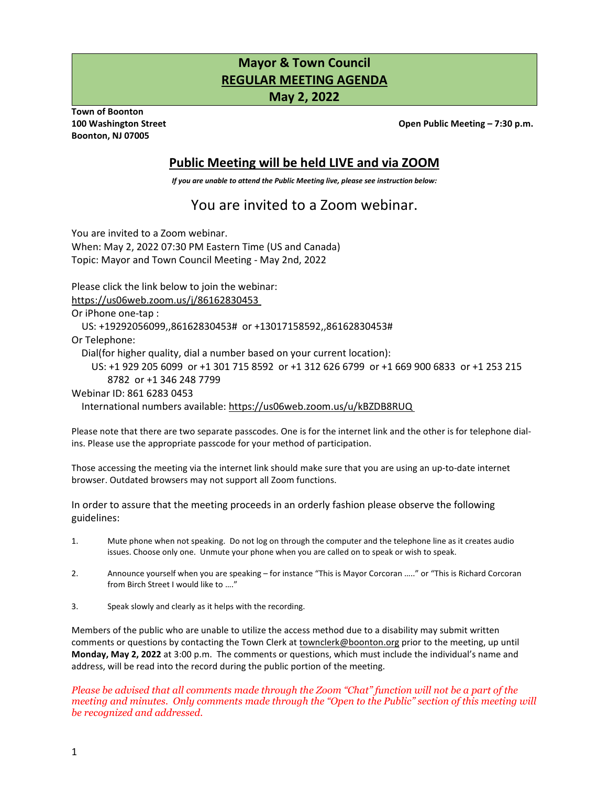# **Mayor & Town Council REGULAR MEETING AGENDA**

**May 2, 2022**

**Town of Boonton Boonton, NJ 07005** 

**100 Washington Street Open Public Meeting – 7:30 p.m.** 

## **Public Meeting will be held LIVE and via ZOOM**

*If you are unable to attend the Public Meeting live, please see instruction below:* 

## You are invited to a Zoom webinar.

You are invited to a Zoom webinar. When: May 2, 2022 07:30 PM Eastern Time (US and Canada) Topic: Mayor and Town Council Meeting - May 2nd, 2022

Please click the link below to join the webinar:

<https://us06web.zoom.us/j/86162830453>

Or iPhone one-tap :

US: +19292056099,,86162830453# or +13017158592,,86162830453#

Or Telephone:

Dial(for higher quality, dial a number based on your current location):

 US: +1 929 205 6099 or +1 301 715 8592 or +1 312 626 6799 or +1 669 900 6833 or +1 253 215 8782 or +1 346 248 7799

Webinar ID: 861 6283 0453

International numbers available:<https://us06web.zoom.us/u/kBZDB8RUQ>

Please note that there are two separate passcodes. One is for the internet link and the other is for telephone dialins. Please use the appropriate passcode for your method of participation.

Those accessing the meeting via the internet link should make sure that you are using an up-to-date internet browser. Outdated browsers may not support all Zoom functions.

In order to assure that the meeting proceeds in an orderly fashion please observe the following guidelines:

- 1. Mute phone when not speaking. Do not log on through the computer and the telephone line as it creates audio issues. Choose only one. Unmute your phone when you are called on to speak or wish to speak.
- 2. Announce yourself when you are speaking for instance "This is Mayor Corcoran ….." or "This is Richard Corcoran from Birch Street I would like to …."
- 3. Speak slowly and clearly as it helps with the recording.

Members of the public who are unable to utilize the access method due to a disability may submit written comments or questions by contacting the Town Clerk at [townclerk@boonton.org p](mailto:townclerk@boonton.org)rior to the meeting, up until **Monday, May 2, 2022** at 3:00 p.m. The comments or questions, which must include the individual's name and address, will be read into the record during the public portion of the meeting.

*Please be advised that all comments made through the Zoom "Chat" function will not be a part of the meeting and minutes. Only comments made through the "Open to the Public" section of this meeting will be recognized and addressed.*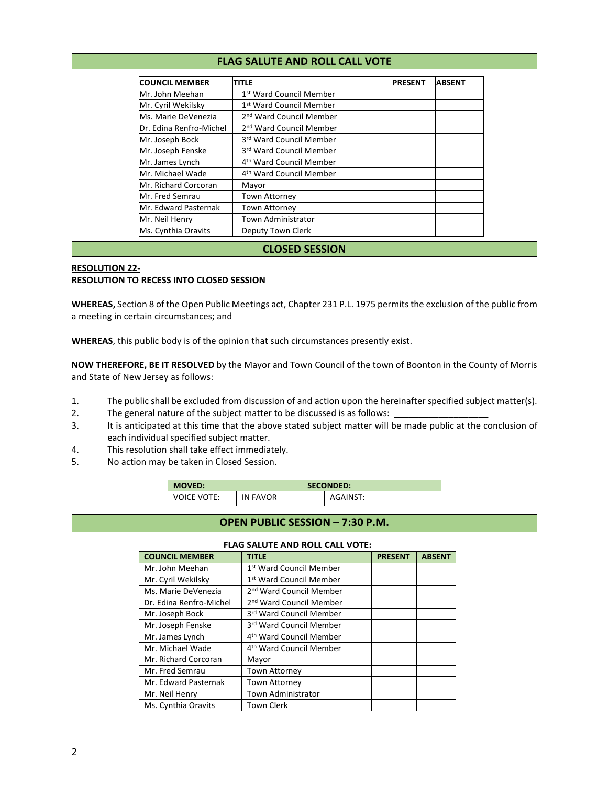#### **FLAG SALUTE AND ROLL CALL VOTE**

| <b>COUNCIL MEMBER</b>   | TITLE                               | <b>PRESENT</b> | <b>ABSENT</b> |
|-------------------------|-------------------------------------|----------------|---------------|
| Mr. John Meehan         | 1 <sup>st</sup> Ward Council Member |                |               |
| Mr. Cyril Wekilsky      | 1 <sup>st</sup> Ward Council Member |                |               |
| Ms. Marie DeVenezia     | 2 <sup>nd</sup> Ward Council Member |                |               |
| Dr. Edina Renfro-Michel | 2 <sup>nd</sup> Ward Council Member |                |               |
| Mr. Joseph Bock         | 3rd Ward Council Member             |                |               |
| Mr. Joseph Fenske       | 3rd Ward Council Member             |                |               |
| Mr. James Lynch         | 4 <sup>th</sup> Ward Council Member |                |               |
| Mr. Michael Wade        | 4 <sup>th</sup> Ward Council Member |                |               |
| Mr. Richard Corcoran    | Mayor                               |                |               |
| Mr. Fred Semrau         | <b>Town Attorney</b>                |                |               |
| Mr. Edward Pasternak    | <b>Town Attorney</b>                |                |               |
| Mr. Neil Henry          | Town Administrator                  |                |               |
| Ms. Cynthia Oravits     | Deputy Town Clerk                   |                |               |

#### **CLOSED SESSION**

#### **RESOLUTION 22- RESOLUTION TO RECESS INTO CLOSED SESSION**

**WHEREAS,** Section 8 of the Open Public Meetings act, Chapter 231 P.L. 1975 permits the exclusion of the public from a meeting in certain circumstances; and

**WHEREAS**, this public body is of the opinion that such circumstances presently exist.

**NOW THEREFORE, BE IT RESOLVED** by the Mayor and Town Council of the town of Boonton in the County of Morris and State of New Jersey as follows:

- 1. The public shall be excluded from discussion of and action upon the hereinafter specified subject matter(s).
- 2. The general nature of the subject matter to be discussed is as follows:
- 3. It is anticipated at this time that the above stated subject matter will be made public at the conclusion of each individual specified subject matter.
- 4. This resolution shall take effect immediately.
- 5. No action may be taken in Closed Session.

| <b>MOVED:</b>      |          | <b>SECONDED:</b> |          |
|--------------------|----------|------------------|----------|
| <b>VOICE VOTE:</b> | IN FAVOR |                  | AGAINST: |

#### **OPEN PUBLIC SESSION – 7:30 P.M.**

| <b>FLAG SALUTE AND ROLL CALL VOTE:</b> |                                     |                |               |  |  |  |
|----------------------------------------|-------------------------------------|----------------|---------------|--|--|--|
| <b>COUNCIL MEMBER</b>                  | <b>TITLE</b>                        | <b>PRESENT</b> | <b>ABSENT</b> |  |  |  |
| Mr. John Meehan                        | 1st Ward Council Member             |                |               |  |  |  |
| Mr. Cyril Wekilsky                     | 1 <sup>st</sup> Ward Council Member |                |               |  |  |  |
| Ms. Marie DeVenezia                    | 2 <sup>nd</sup> Ward Council Member |                |               |  |  |  |
| Dr. Edina Renfro-Michel                | 2 <sup>nd</sup> Ward Council Member |                |               |  |  |  |
| Mr. Joseph Bock                        | 3rd Ward Council Member             |                |               |  |  |  |
| Mr. Joseph Fenske                      | 3rd Ward Council Member             |                |               |  |  |  |
| Mr. James Lynch                        | 4 <sup>th</sup> Ward Council Member |                |               |  |  |  |
| Mr. Michael Wade                       | 4 <sup>th</sup> Ward Council Member |                |               |  |  |  |
| Mr. Richard Corcoran                   | Mayor                               |                |               |  |  |  |
| Mr. Fred Semrau                        | <b>Town Attorney</b>                |                |               |  |  |  |
| Mr. Edward Pasternak                   | <b>Town Attorney</b>                |                |               |  |  |  |
| Mr. Neil Henry                         | Town Administrator                  |                |               |  |  |  |
| Ms. Cynthia Oravits                    | Town Clerk                          |                |               |  |  |  |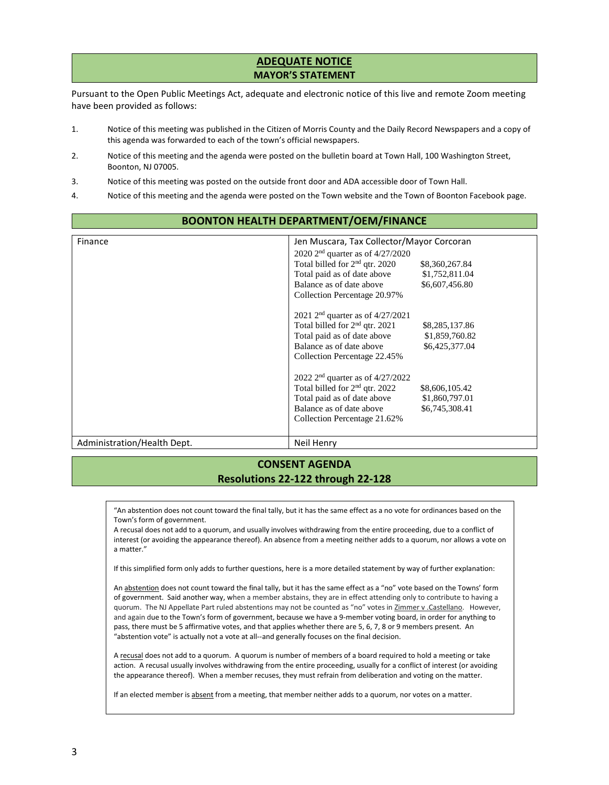## **ADEQUATE NOTICE MAYOR'S STATEMENT**

Pursuant to the Open Public Meetings Act, adequate and electronic notice of this live and remote Zoom meeting have been provided as follows:

- 1. Notice of this meeting was published in the Citizen of Morris County and the Daily Record Newspapers and a copy of this agenda was forwarded to each of the town's official newspapers.
- 2. Notice of this meeting and the agenda were posted on the bulletin board at Town Hall, 100 Washington Street, Boonton, NJ 07005.
- 3. Notice of this meeting was posted on the outside front door and ADA accessible door of Town Hall.
- 4. Notice of this meeting and the agenda were posted on the Town website and the Town of Boonton Facebook page.

## **BOONTON HEALTH DEPARTMENT/OEM/FINANCE**

| Finance                     | Jen Muscara, Tax Collector/Mayor Corcoran    |                |  |
|-----------------------------|----------------------------------------------|----------------|--|
|                             | 2020 2 <sup>nd</sup> quarter as of 4/27/2020 |                |  |
|                             | Total billed for 2 <sup>nd</sup> qtr. 2020   | \$8,360,267.84 |  |
|                             | Total paid as of date above                  | \$1,752,811.04 |  |
|                             | Balance as of date above                     | \$6,607,456.80 |  |
|                             | Collection Percentage 20.97%                 |                |  |
|                             | 2021 $2nd$ quarter as of 4/27/2021           |                |  |
|                             | Total billed for 2 <sup>nd</sup> qtr. 2021   | \$8,285,137.86 |  |
|                             | Total paid as of date above                  | \$1,859,760.82 |  |
|                             | Balance as of date above                     | \$6,425,377.04 |  |
|                             | Collection Percentage 22.45%                 |                |  |
|                             | 2022 $2nd$ quarter as of 4/27/2022           |                |  |
|                             | Total billed for 2 <sup>nd</sup> qtr. 2022   | \$8,606,105.42 |  |
|                             | Total paid as of date above                  | \$1,860,797.01 |  |
|                             | Balance as of date above                     | \$6,745,308.41 |  |
|                             | Collection Percentage 21.62%                 |                |  |
|                             |                                              |                |  |
| Administration/Health Dept. | Neil Henry                                   |                |  |

## **CONSENT AGENDA Resolutions 22-122 through 22-128**

"An abstention does not count toward the final tally, but it has the same effect as a no vote for ordinances based on the Town's form of government.

A recusal does not add to a quorum, and usually involves withdrawing from the entire proceeding, due to a conflict of interest (or avoiding the appearance thereof). An absence from a meeting neither adds to a quorum, nor allows a vote on a matter."

If this simplified form only adds to further questions, here is a more detailed statement by way of further explanation:

An abstention does not count toward the final tally, but it has the same effect as a "no" vote based on the Towns' form of government. Said another way, when a member abstains, they are in effect attending only to contribute to having a quorum. The NJ Appellate Part ruled abstentions may not be counted as "no" votes in Zimmer v .Castellano. However, and again due to the Town's form of government, because we have a 9-member voting board, in order for anything to pass, there must be 5 affirmative votes, and that applies whether there are 5, 6, 7, 8 or 9 members present. An "abstention vote" is actually not a vote at all--and generally focuses on the final decision.

A recusal does not add to a quorum. A quorum is number of members of a board required to hold a meeting or take action. A recusal usually involves withdrawing from the entire proceeding, usually for a conflict of interest (or avoiding the appearance thereof). When a member recuses, they must refrain from deliberation and voting on the matter.

If an elected member is absent from a meeting, that member neither adds to a quorum, nor votes on a matter.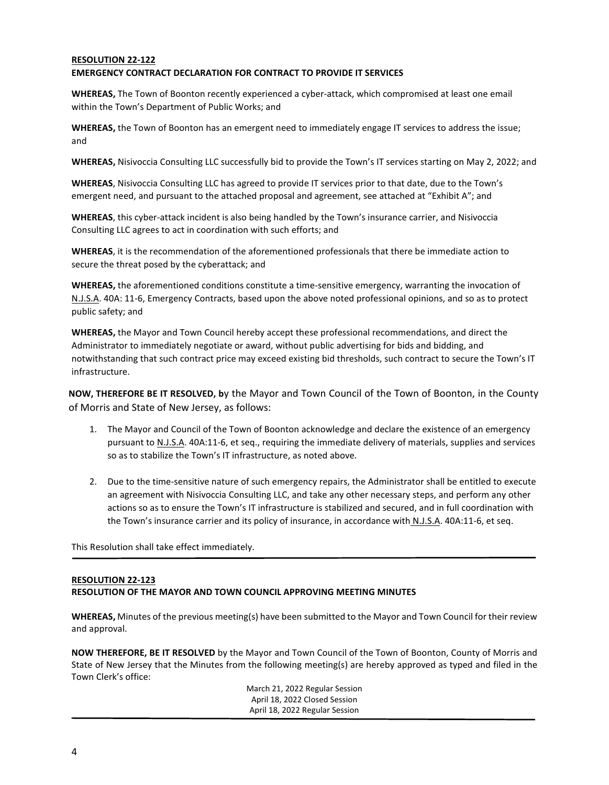#### **RESOLUTION 22-122 EMERGENCY CONTRACT DECLARATION FOR CONTRACT TO PROVIDE IT SERVICES**

**WHEREAS,** The Town of Boonton recently experienced a cyber-attack, which compromised at least one email within the Town's Department of Public Works; and

**WHEREAS,** the Town of Boonton has an emergent need to immediately engage IT services to address the issue; and

**WHEREAS,** Nisivoccia Consulting LLC successfully bid to provide the Town's IT services starting on May 2, 2022; and

**WHEREAS**, Nisivoccia Consulting LLC has agreed to provide IT services prior to that date, due to the Town's emergent need, and pursuant to the attached proposal and agreement, see attached at "Exhibit A"; and

**WHEREAS**, this cyber-attack incident is also being handled by the Town's insurance carrier, and Nisivoccia Consulting LLC agrees to act in coordination with such efforts; and

**WHEREAS**, it is the recommendation of the aforementioned professionals that there be immediate action to secure the threat posed by the cyberattack; and

**WHEREAS,** the aforementioned conditions constitute a time-sensitive emergency, warranting the invocation of N.J.S.A. 40A: 11-6, Emergency Contracts, based upon the above noted professional opinions, and so as to protect public safety; and

**WHEREAS,** the Mayor and Town Council hereby accept these professional recommendations, and direct the Administrator to immediately negotiate or award, without public advertising for bids and bidding, and notwithstanding that such contract price may exceed existing bid thresholds, such contract to secure the Town's IT infrastructure.

**NOW, THEREFORE BE IT RESOLVED, b**y the Mayor and Town Council of the Town of Boonton, in the County of Morris and State of New Jersey, as follows:

- 1. The Mayor and Council of the Town of Boonton acknowledge and declare the existence of an emergency pursuant to N.J.S.A. 40A:11-6, et seq., requiring the immediate delivery of materials, supplies and services so as to stabilize the Town's IT infrastructure, as noted above.
- 2. Due to the time-sensitive nature of such emergency repairs, the Administrator shall be entitled to execute an agreement with Nisivoccia Consulting LLC, and take any other necessary steps, and perform any other actions so as to ensure the Town's IT infrastructure is stabilized and secured, and in full coordination with the Town's insurance carrier and its policy of insurance, in accordance with N.J.S.A. 40A:11-6, et seq.

This Resolution shall take effect immediately.

#### **RESOLUTION 22-123**

#### **RESOLUTION OF THE MAYOR AND TOWN COUNCIL APPROVING MEETING MINUTES**

**WHEREAS,** Minutes of the previous meeting(s) have been submitted to the Mayor and Town Council for their review and approval.

**NOW THEREFORE, BE IT RESOLVED** by the Mayor and Town Council of the Town of Boonton, County of Morris and State of New Jersey that the Minutes from the following meeting(s) are hereby approved as typed and filed in the Town Clerk's office:

> March 21, 2022 Regular Session April 18, 2022 Closed Session April 18, 2022 Regular Session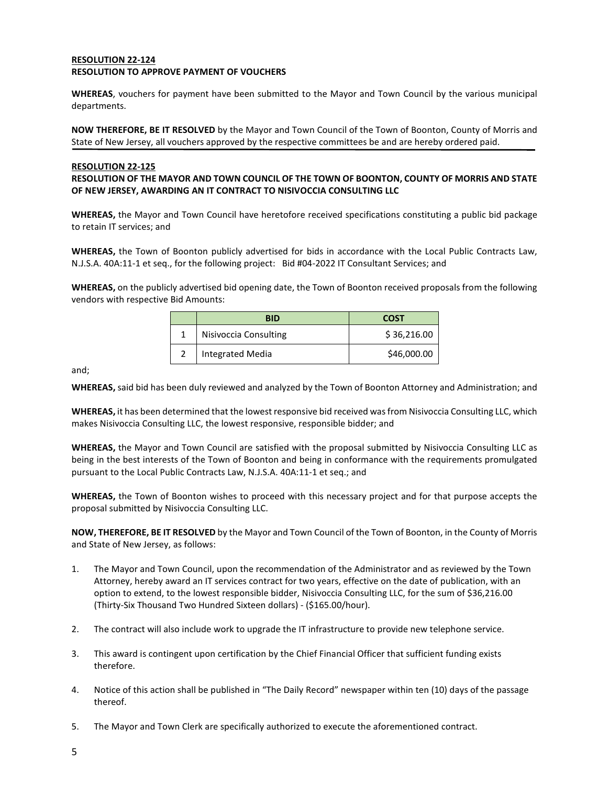#### **RESOLUTION 22-124 RESOLUTION TO APPROVE PAYMENT OF VOUCHERS**

**WHEREAS**, vouchers for payment have been submitted to the Mayor and Town Council by the various municipal departments.

**NOW THEREFORE, BE IT RESOLVED** by the Mayor and Town Council of the Town of Boonton, County of Morris and State of New Jersey, all vouchers approved by the respective committees be and are hereby ordered paid.

#### **RESOLUTION 22-125**

#### **RESOLUTION OF THE MAYOR AND TOWN COUNCIL OF THE TOWN OF BOONTON, COUNTY OF MORRIS AND STATE OF NEW JERSEY, AWARDING AN IT CONTRACT TO NISIVOCCIA CONSULTING LLC**

**WHEREAS,** the Mayor and Town Council have heretofore received specifications constituting a public bid package to retain IT services; and

**WHEREAS,** the Town of Boonton publicly advertised for bids in accordance with the Local Public Contracts Law, N.J.S.A. 40A:11-1 et seq., for the following project: Bid #04-2022 IT Consultant Services; and

**WHEREAS,** on the publicly advertised bid opening date, the Town of Boonton received proposals from the following vendors with respective Bid Amounts:

| <b>BID</b>              | <b>COST</b> |
|-------------------------|-------------|
| Nisivoccia Consulting   | \$36,216.00 |
| <b>Integrated Media</b> | \$46,000.00 |

and;

**WHEREAS,** said bid has been duly reviewed and analyzed by the Town of Boonton Attorney and Administration; and

**WHEREAS,** it has been determined that the lowest responsive bid received was from Nisivoccia Consulting LLC, which makes Nisivoccia Consulting LLC, the lowest responsive, responsible bidder; and

**WHEREAS,** the Mayor and Town Council are satisfied with the proposal submitted by Nisivoccia Consulting LLC as being in the best interests of the Town of Boonton and being in conformance with the requirements promulgated pursuant to the Local Public Contracts Law, N.J.S.A. 40A:11-1 et seq.; and

**WHEREAS,** the Town of Boonton wishes to proceed with this necessary project and for that purpose accepts the proposal submitted by Nisivoccia Consulting LLC.

**NOW, THEREFORE, BE IT RESOLVED** by the Mayor and Town Council of the Town of Boonton, in the County of Morris and State of New Jersey, as follows:

- 1. The Mayor and Town Council, upon the recommendation of the Administrator and as reviewed by the Town Attorney, hereby award an IT services contract for two years, effective on the date of publication, with an option to extend, to the lowest responsible bidder, Nisivoccia Consulting LLC, for the sum of \$36,216.00 (Thirty-Six Thousand Two Hundred Sixteen dollars) - (\$165.00/hour).
- 2. The contract will also include work to upgrade the IT infrastructure to provide new telephone service.
- 3. This award is contingent upon certification by the Chief Financial Officer that sufficient funding exists therefore.
- 4. Notice of this action shall be published in "The Daily Record" newspaper within ten (10) days of the passage thereof.
- 5. The Mayor and Town Clerk are specifically authorized to execute the aforementioned contract.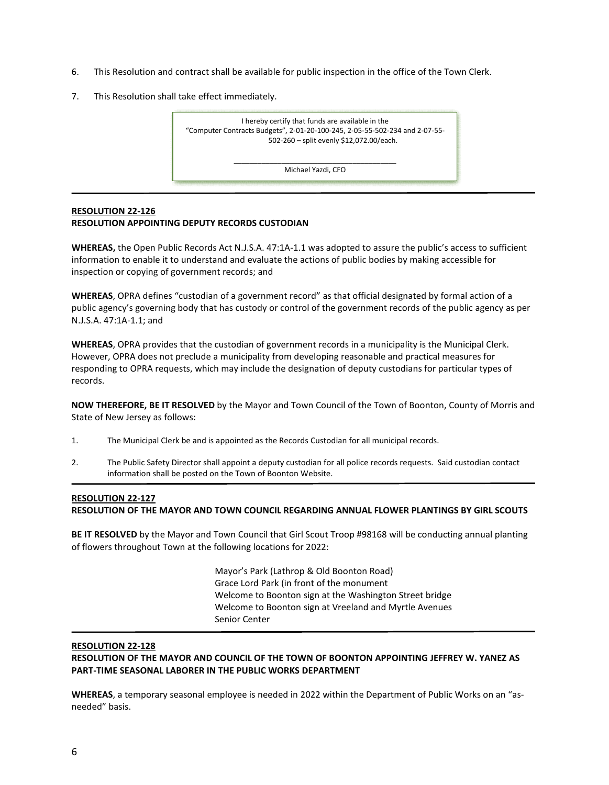- 6. This Resolution and contract shall be available for public inspection in the office of the Town Clerk.
- 7. This Resolution shall take effect immediately.

I hereby certify that funds are available in the "Computer Contracts Budgets", 2-01-20-100-245, 2-05-55-502-234 and 2-07-55- 502-260 – split evenly \$12,072.00/each.

> \_\_\_\_\_\_\_\_\_\_\_\_\_\_\_\_\_\_\_\_\_\_\_\_\_\_\_\_\_\_\_\_\_\_\_\_\_\_\_\_\_ Michael Yazdi, CFO

### **RESOLUTION 22-126 RESOLUTION APPOINTING DEPUTY RECORDS CUSTODIAN**

**WHEREAS,** the Open Public Records Act N.J.S.A. 47:1A-1.1 was adopted to assure the public's access to sufficient information to enable it to understand and evaluate the actions of public bodies by making accessible for inspection or copying of government records; and

**WHEREAS**, OPRA defines "custodian of a government record" as that official designated by formal action of a public agency's governing body that has custody or control of the government records of the public agency as per N.J.S.A. 47:1A-1.1; and

**WHEREAS**, OPRA provides that the custodian of government records in a municipality is the Municipal Clerk. However, OPRA does not preclude a municipality from developing reasonable and practical measures for responding to OPRA requests, which may include the designation of deputy custodians for particular types of records.

**NOW THEREFORE, BE IT RESOLVED** by the Mayor and Town Council of the Town of Boonton, County of Morris and State of New Jersey as follows:

- 1. The Municipal Clerk be and is appointed as the Records Custodian for all municipal records.
- 2. The Public Safety Director shall appoint a deputy custodian for all police records requests. Said custodian contact information shall be posted on the Town of Boonton Website.

#### **RESOLUTION 22-127**

**RESOLUTION OF THE MAYOR AND TOWN COUNCIL REGARDING ANNUAL FLOWER PLANTINGS BY GIRL SCOUTS** 

**BE IT RESOLVED** by the Mayor and Town Council that Girl Scout Troop #98168 will be conducting annual planting of flowers throughout Town at the following locations for 2022:

> Mayor's Park (Lathrop & Old Boonton Road) Grace Lord Park (in front of the monument Welcome to Boonton sign at the Washington Street bridge Welcome to Boonton sign at Vreeland and Myrtle Avenues Senior Center

#### **RESOLUTION 22-128**

**RESOLUTION OF THE MAYOR AND COUNCIL OF THE TOWN OF BOONTON APPOINTING JEFFREY W. YANEZ AS PART-TIME SEASONAL LABORER IN THE PUBLIC WORKS DEPARTMENT** 

**WHEREAS**, a temporary seasonal employee is needed in 2022 within the Department of Public Works on an "asneeded" basis.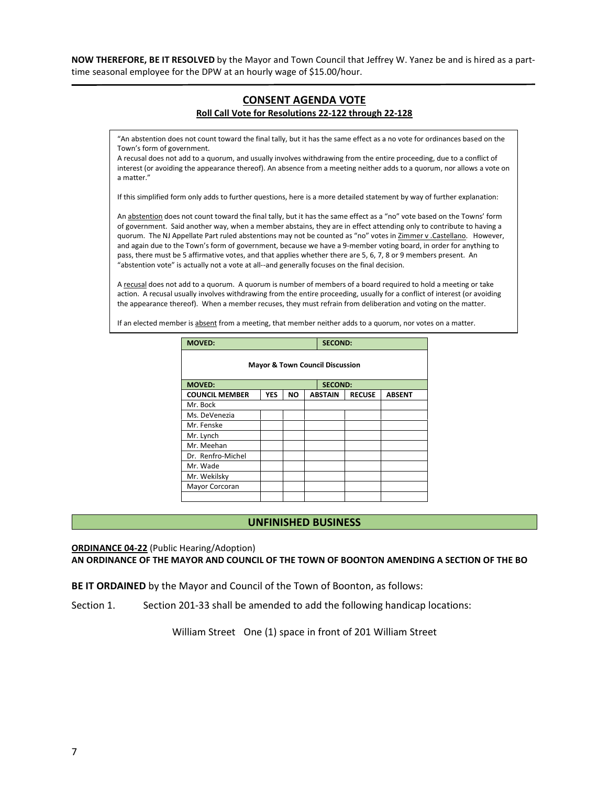**NOW THEREFORE, BE IT RESOLVED** by the Mayor and Town Council that Jeffrey W. Yanez be and is hired as a parttime seasonal employee for the DPW at an hourly wage of \$15.00/hour.

## **CONSENT AGENDA VOTE Roll Call Vote for Resolutions 22-122 through 22-128**

"An abstention does not count toward the final tally, but it has the same effect as a no vote for ordinances based on the Town's form of government.

A recusal does not add to a quorum, and usually involves withdrawing from the entire proceeding, due to a conflict of interest (or avoiding the appearance thereof). An absence from a meeting neither adds to a quorum, nor allows a vote on a matter."

If this simplified form only adds to further questions, here is a more detailed statement by way of further explanation:

An abstention does not count toward the final tally, but it has the same effect as a "no" vote based on the Towns' form of government. Said another way, when a member abstains, they are in effect attending only to contribute to having a quorum. The NJ Appellate Part ruled abstentions may not be counted as "no" votes in Zimmer v .Castellano. However, and again due to the Town's form of government, because we have a 9-member voting board, in order for anything to pass, there must be 5 affirmative votes, and that applies whether there are 5, 6, 7, 8 or 9 members present. An "abstention vote" is actually not a vote at all--and generally focuses on the final decision.

A recusal does not add to a quorum. A quorum is number of members of a board required to hold a meeting or take action. A recusal usually involves withdrawing from the entire proceeding, usually for a conflict of interest (or avoiding the appearance thereof). When a member recuses, they must refrain from deliberation and voting on the matter.

If an elected member is absent from a meeting, that member neither adds to a quorum, nor votes on a matter.

| <b>MOVED:</b>                              |                |           |  | <b>SECOND:</b> |               |               |
|--------------------------------------------|----------------|-----------|--|----------------|---------------|---------------|
| <b>Mayor &amp; Town Council Discussion</b> |                |           |  |                |               |               |
| <b>MOVED:</b>                              | <b>SECOND:</b> |           |  |                |               |               |
| <b>COUNCIL MEMBER</b>                      | <b>YES</b>     | <b>NO</b> |  | <b>ABSTAIN</b> | <b>RECUSE</b> | <b>ABSENT</b> |
| Mr. Bock                                   |                |           |  |                |               |               |
| Ms. DeVenezia                              |                |           |  |                |               |               |
| Mr. Fenske                                 |                |           |  |                |               |               |
| Mr. Lynch                                  |                |           |  |                |               |               |
| Mr. Meehan                                 |                |           |  |                |               |               |
| Dr. Renfro-Michel                          |                |           |  |                |               |               |
| Mr. Wade                                   |                |           |  |                |               |               |
| Mr. Wekilsky                               |                |           |  |                |               |               |
| Mayor Corcoran                             |                |           |  |                |               |               |
|                                            |                |           |  |                |               |               |

#### **UNFINISHED BUSINESS**

#### **ORDINANCE 04-22** (Public Hearing/Adoption) **AN ORDINANCE OF THE MAYOR AND COUNCIL OF THE TOWN OF BOONTON AMENDING A SECTION OF THE BO**

**BE IT ORDAINED** by the Mayor and Council of the Town of Boonton, as follows:

Section 1. Section 201-33 shall be amended to add the following handicap locations:

William Street One (1) space in front of 201 William Street